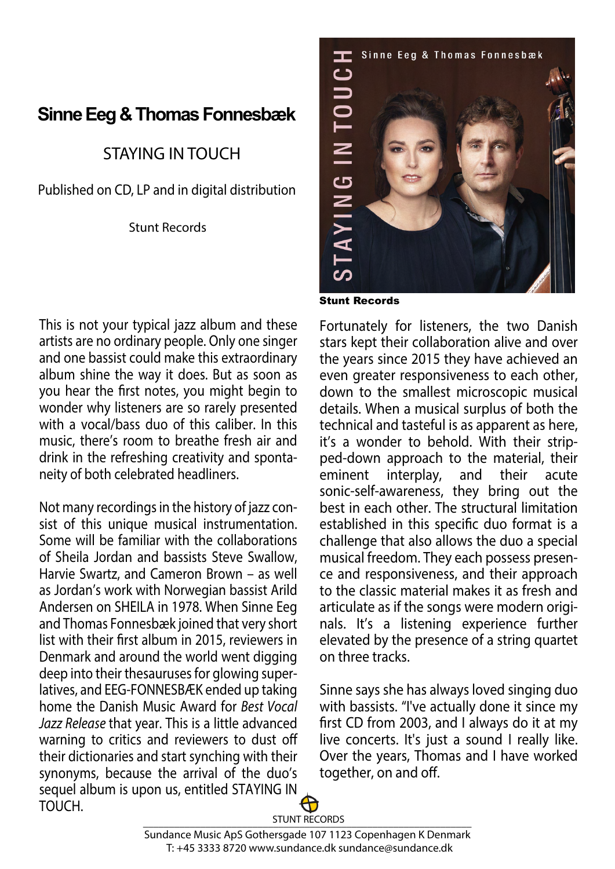## **Sinne Eeg & Thomas Fonnesbæk**

## STAYING IN TOUCH

Published on CD, LP and in digital distribution

Stunt Records

This is not your typical jazz album and these artists are no ordinary people. Only one singer and one bassist could make this extraordinary album shine the way it does. But as soon as you hear the first notes, you might begin to wonder why listeners are so rarely presented with a vocal/bass duo of this caliber. In this music, there's room to breathe fresh air and drink in the refreshing creativity and spontaneity of both celebrated headliners.

Not many recordings in the history of jazz consist of this unique musical instrumentation. Some will be familiar with the collaborations of Sheila Jordan and bassists Steve Swallow, Harvie Swartz, and Cameron Brown – as well as Jordan's work with Norwegian bassist Arild Andersen on SHEILA in 1978. When Sinne Eeg and Thomas Fonnesbæk joined that very short list with their first album in 2015, reviewers in Denmark and around the world went digging deep into their thesauruses for glowing superlatives, and EEG-FONNESBÆK ended up taking home the Danish Music Award for Best Vocal Jazz Release that year. This is a little advanced warning to critics and reviewers to dust off their dictionaries and start synching with their synonyms, because the arrival of the duo's sequel album is upon us, entitled STAYING IN TOUCH.



Stunt Records

Fortunately for listeners, the two Danish stars kept their collaboration alive and over the years since 2015 they have achieved an even greater responsiveness to each other, down to the smallest microscopic musical details. When a musical surplus of both the technical and tasteful is as apparent as here, it's a wonder to behold. With their stripped-down approach to the material, their eminent interplay, and their acute sonic-self-awareness, they bring out the best in each other. The structural limitation established in this specific duo format is a challenge that also allows the duo a special musical freedom. They each possess presence and responsiveness, and their approach to the classic material makes it as fresh and articulate as if the songs were modern originals. It's a listening experience further elevated by the presence of a string quartet on three tracks.

Sinne says she has always loved singing duo with bassists. "I've actually done it since my first CD from 2003, and I always do it at my live concerts. It's just a sound I really like. Over the years, Thomas and I have worked together, on and off.